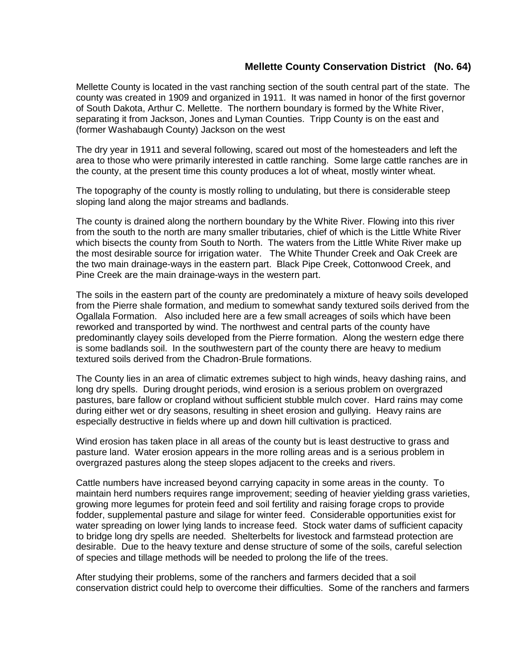## **Mellette County Conservation District (No. 64)**

Mellette County is located in the vast ranching section of the south central part of the state. The county was created in 1909 and organized in 1911. It was named in honor of the first governor of South Dakota, Arthur C. Mellette. The northern boundary is formed by the White River, separating it from Jackson, Jones and Lyman Counties. Tripp County is on the east and (former Washabaugh County) Jackson on the west

The dry year in 1911 and several following, scared out most of the homesteaders and left the area to those who were primarily interested in cattle ranching. Some large cattle ranches are in the county, at the present time this county produces a lot of wheat, mostly winter wheat.

The topography of the county is mostly rolling to undulating, but there is considerable steep sloping land along the major streams and badlands.

The county is drained along the northern boundary by the White River. Flowing into this river from the south to the north are many smaller tributaries, chief of which is the Little White River which bisects the county from South to North. The waters from the Little White River make up the most desirable source for irrigation water. The White Thunder Creek and Oak Creek are the two main drainage-ways in the eastern part. Black Pipe Creek, Cottonwood Creek, and Pine Creek are the main drainage-ways in the western part.

The soils in the eastern part of the county are predominately a mixture of heavy soils developed from the Pierre shale formation, and medium to somewhat sandy textured soils derived from the Ogallala Formation. Also included here are a few small acreages of soils which have been reworked and transported by wind. The northwest and central parts of the county have predominantly clayey soils developed from the Pierre formation. Along the western edge there is some badlands soil. In the southwestern part of the county there are heavy to medium textured soils derived from the Chadron-Brule formations.

The County lies in an area of climatic extremes subject to high winds, heavy dashing rains, and long dry spells. During drought periods, wind erosion is a serious problem on overgrazed pastures, bare fallow or cropland without sufficient stubble mulch cover. Hard rains may come during either wet or dry seasons, resulting in sheet erosion and gullying. Heavy rains are especially destructive in fields where up and down hill cultivation is practiced.

Wind erosion has taken place in all areas of the county but is least destructive to grass and pasture land. Water erosion appears in the more rolling areas and is a serious problem in overgrazed pastures along the steep slopes adjacent to the creeks and rivers.

Cattle numbers have increased beyond carrying capacity in some areas in the county. To maintain herd numbers requires range improvement; seeding of heavier yielding grass varieties, growing more legumes for protein feed and soil fertility and raising forage crops to provide fodder, supplemental pasture and silage for winter feed. Considerable opportunities exist for water spreading on lower lying lands to increase feed. Stock water dams of sufficient capacity to bridge long dry spells are needed. Shelterbelts for livestock and farmstead protection are desirable. Due to the heavy texture and dense structure of some of the soils, careful selection of species and tillage methods will be needed to prolong the life of the trees.

After studying their problems, some of the ranchers and farmers decided that a soil conservation district could help to overcome their difficulties. Some of the ranchers and farmers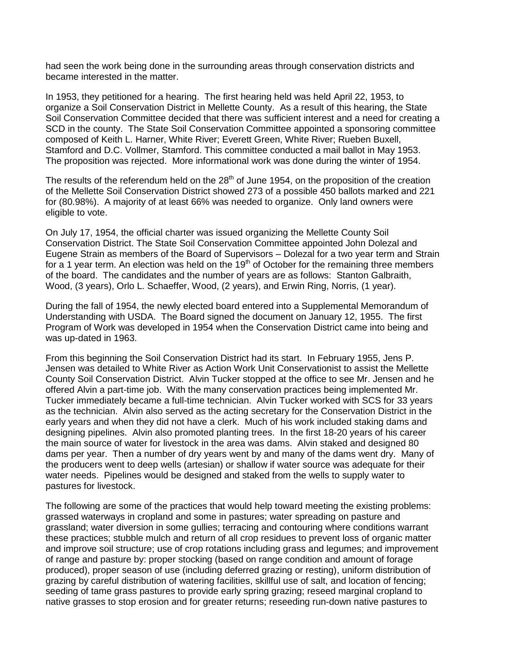had seen the work being done in the surrounding areas through conservation districts and became interested in the matter.

In 1953, they petitioned for a hearing. The first hearing held was held April 22, 1953, to organize a Soil Conservation District in Mellette County. As a result of this hearing, the State Soil Conservation Committee decided that there was sufficient interest and a need for creating a SCD in the county. The State Soil Conservation Committee appointed a sponsoring committee composed of Keith L. Harner, White River; Everett Green, White River; Rueben Buxell, Stamford and D.C. Vollmer, Stamford. This committee conducted a mail ballot in May 1953. The proposition was rejected. More informational work was done during the winter of 1954.

The results of the referendum held on the  $28<sup>th</sup>$  of June 1954, on the proposition of the creation of the Mellette Soil Conservation District showed 273 of a possible 450 ballots marked and 221 for (80.98%). A majority of at least 66% was needed to organize. Only land owners were eligible to vote.

On July 17, 1954, the official charter was issued organizing the Mellette County Soil Conservation District. The State Soil Conservation Committee appointed John Dolezal and Eugene Strain as members of the Board of Supervisors – Dolezal for a two year term and Strain for a 1 year term. An election was held on the  $19<sup>th</sup>$  of October for the remaining three members of the board. The candidates and the number of years are as follows: Stanton Galbraith, Wood, (3 years), Orlo L. Schaeffer, Wood, (2 years), and Erwin Ring, Norris, (1 year).

During the fall of 1954, the newly elected board entered into a Supplemental Memorandum of Understanding with USDA. The Board signed the document on January 12, 1955. The first Program of Work was developed in 1954 when the Conservation District came into being and was up-dated in 1963.

From this beginning the Soil Conservation District had its start. In February 1955, Jens P. Jensen was detailed to White River as Action Work Unit Conservationist to assist the Mellette County Soil Conservation District. Alvin Tucker stopped at the office to see Mr. Jensen and he offered Alvin a part-time job. With the many conservation practices being implemented Mr. Tucker immediately became a full-time technician. Alvin Tucker worked with SCS for 33 years as the technician. Alvin also served as the acting secretary for the Conservation District in the early years and when they did not have a clerk. Much of his work included staking dams and designing pipelines. Alvin also promoted planting trees. In the first 18-20 years of his career the main source of water for livestock in the area was dams. Alvin staked and designed 80 dams per year. Then a number of dry years went by and many of the dams went dry. Many of the producers went to deep wells (artesian) or shallow if water source was adequate for their water needs. Pipelines would be designed and staked from the wells to supply water to pastures for livestock.

The following are some of the practices that would help toward meeting the existing problems: grassed waterways in cropland and some in pastures; water spreading on pasture and grassland; water diversion in some gullies; terracing and contouring where conditions warrant these practices; stubble mulch and return of all crop residues to prevent loss of organic matter and improve soil structure; use of crop rotations including grass and legumes; and improvement of range and pasture by: proper stocking (based on range condition and amount of forage produced), proper season of use (including deferred grazing or resting), uniform distribution of grazing by careful distribution of watering facilities, skillful use of salt, and location of fencing; seeding of tame grass pastures to provide early spring grazing; reseed marginal cropland to native grasses to stop erosion and for greater returns; reseeding run-down native pastures to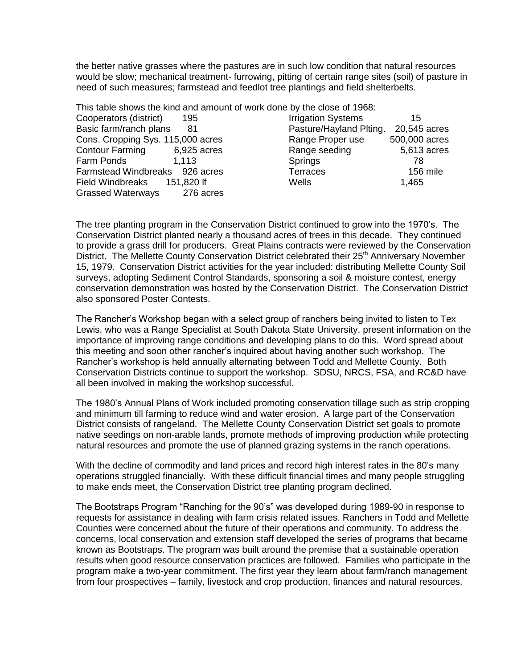the better native grasses where the pastures are in such low condition that natural resources would be slow; mechanical treatment- furrowing, pitting of certain range sites (soil) of pasture in need of such measures; farmstead and feedlot tree plantings and field shelterbelts.

This table shows the kind and amount of work done by the close of 1968:

| Cooperators (district)            | 195         | <b>Irrigation Systems</b> | 15            |
|-----------------------------------|-------------|---------------------------|---------------|
| Basic farm/ranch plans            | 81          | Pasture/Hayland Plting.   | 20,545 acres  |
| Cons. Cropping Sys. 115,000 acres |             | Range Proper use          | 500,000 acres |
| <b>Contour Farming</b>            | 6,925 acres | Range seeding             | 5,613 acres   |
| Farm Ponds                        | 1.113       | <b>Springs</b>            | 78            |
| Farmstead Windbreaks 926 acres    |             | <b>Terraces</b>           | 156 mile      |
| Field Windbreaks                  | 151,820 lf  | Wells                     | 1,465         |
| <b>Grassed Waterways</b>          | 276 acres   |                           |               |

The tree planting program in the Conservation District continued to grow into the 1970's. The Conservation District planted nearly a thousand acres of trees in this decade. They continued to provide a grass drill for producers. Great Plains contracts were reviewed by the Conservation District. The Mellette County Conservation District celebrated their 25<sup>th</sup> Anniversary November 15, 1979. Conservation District activities for the year included: distributing Mellette County Soil surveys, adopting Sediment Control Standards, sponsoring a soil & moisture contest, energy conservation demonstration was hosted by the Conservation District. The Conservation District also sponsored Poster Contests.

The Rancher's Workshop began with a select group of ranchers being invited to listen to Tex Lewis, who was a Range Specialist at South Dakota State University, present information on the importance of improving range conditions and developing plans to do this. Word spread about this meeting and soon other rancher's inquired about having another such workshop. The Rancher's workshop is held annually alternating between Todd and Mellette County. Both Conservation Districts continue to support the workshop. SDSU, NRCS, FSA, and RC&D have all been involved in making the workshop successful.

The 1980's Annual Plans of Work included promoting conservation tillage such as strip cropping and minimum till farming to reduce wind and water erosion. A large part of the Conservation District consists of rangeland. The Mellette County Conservation District set goals to promote native seedings on non-arable lands, promote methods of improving production while protecting natural resources and promote the use of planned grazing systems in the ranch operations.

With the decline of commodity and land prices and record high interest rates in the 80's many operations struggled financially. With these difficult financial times and many people struggling to make ends meet, the Conservation District tree planting program declined.

The Bootstraps Program "Ranching for the 90's" was developed during 1989-90 in response to requests for assistance in dealing with farm crisis related issues. Ranchers in Todd and Mellette Counties were concerned about the future of their operations and community. To address the concerns, local conservation and extension staff developed the series of programs that became known as Bootstraps. The program was built around the premise that a sustainable operation results when good resource conservation practices are followed. Families who participate in the program make a two-year commitment. The first year they learn about farm/ranch management from four prospectives – family, livestock and crop production, finances and natural resources.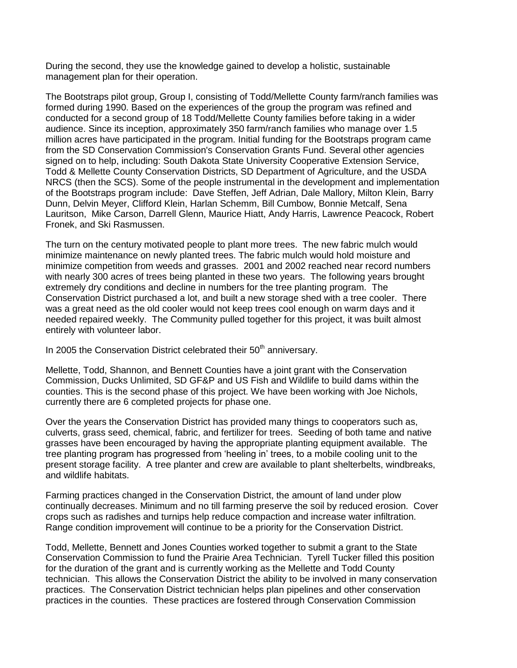During the second, they use the knowledge gained to develop a holistic, sustainable management plan for their operation.

The Bootstraps pilot group, Group I, consisting of Todd/Mellette County farm/ranch families was formed during 1990. Based on the experiences of the group the program was refined and conducted for a second group of 18 Todd/Mellette County families before taking in a wider audience. Since its inception, approximately 350 farm/ranch families who manage over 1.5 million acres have participated in the program. Initial funding for the Bootstraps program came from the SD Conservation Commission's Conservation Grants Fund. Several other agencies signed on to help, including: South Dakota State University Cooperative Extension Service, Todd & Mellette County Conservation Districts, SD Department of Agriculture, and the USDA NRCS (then the SCS). Some of the people instrumental in the development and implementation of the Bootstraps program include: Dave Steffen, Jeff Adrian, Dale Mallory, Milton Klein, Barry Dunn, Delvin Meyer, Clifford Klein, Harlan Schemm, Bill Cumbow, Bonnie Metcalf, Sena Lauritson, Mike Carson, Darrell Glenn, Maurice Hiatt, Andy Harris, Lawrence Peacock, Robert Fronek, and Ski Rasmussen.

The turn on the century motivated people to plant more trees. The new fabric mulch would minimize maintenance on newly planted trees. The fabric mulch would hold moisture and minimize competition from weeds and grasses. 2001 and 2002 reached near record numbers with nearly 300 acres of trees being planted in these two years. The following years brought extremely dry conditions and decline in numbers for the tree planting program. The Conservation District purchased a lot, and built a new storage shed with a tree cooler. There was a great need as the old cooler would not keep trees cool enough on warm days and it needed repaired weekly. The Community pulled together for this project, it was built almost entirely with volunteer labor.

In 2005 the Conservation District celebrated their  $50<sup>th</sup>$  anniversary.

Mellette, Todd, Shannon, and Bennett Counties have a joint grant with the Conservation Commission, Ducks Unlimited, SD GF&P and US Fish and Wildlife to build dams within the counties. This is the second phase of this project. We have been working with Joe Nichols, currently there are 6 completed projects for phase one.

Over the years the Conservation District has provided many things to cooperators such as, culverts, grass seed, chemical, fabric, and fertilizer for trees. Seeding of both tame and native grasses have been encouraged by having the appropriate planting equipment available. The tree planting program has progressed from 'heeling in' trees, to a mobile cooling unit to the present storage facility. A tree planter and crew are available to plant shelterbelts, windbreaks, and wildlife habitats.

Farming practices changed in the Conservation District, the amount of land under plow continually decreases. Minimum and no till farming preserve the soil by reduced erosion. Cover crops such as radishes and turnips help reduce compaction and increase water infiltration. Range condition improvement will continue to be a priority for the Conservation District.

Todd, Mellette, Bennett and Jones Counties worked together to submit a grant to the State Conservation Commission to fund the Prairie Area Technician. Tyrell Tucker filled this position for the duration of the grant and is currently working as the Mellette and Todd County technician. This allows the Conservation District the ability to be involved in many conservation practices. The Conservation District technician helps plan pipelines and other conservation practices in the counties. These practices are fostered through Conservation Commission